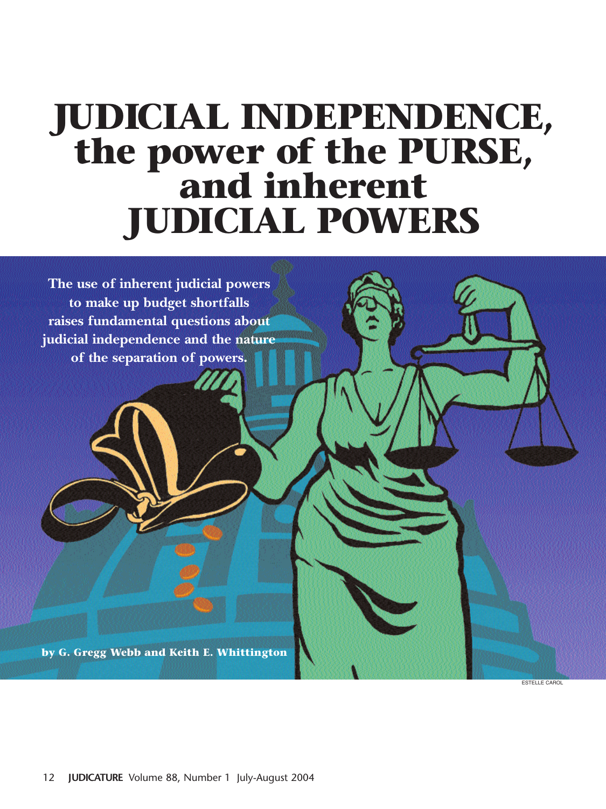# **JUDICIAL INDEPENDENCE, the power of the PURSE, and inherent JUDICIAL POWERS**

**The use of inherent judicial powers to make up budget shortfalls raises fundamental questions about judicial independence and the nature of the separation of powers.**

**by G. Gregg Webb and Keith E. Whittington**

ESTELLE CAROL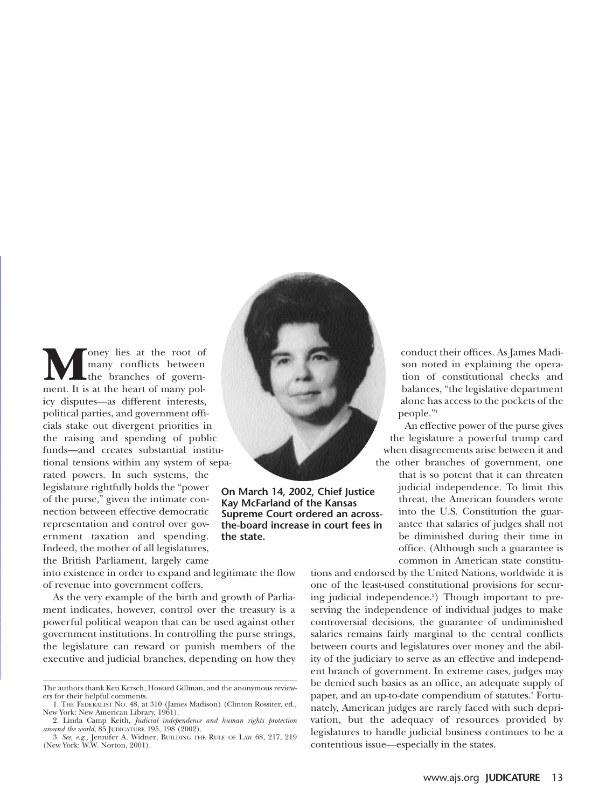**M**oney lies at the root of many conflicts between the branches of government. It is at the heart of many polmany conflicts between the branches of governicy disputes—as different interests, political parties, and government officials stake out divergent priorities in the raising and spending of public funds—and creates substantial institutional tensions within any system of separated powers. In such systems, the legislature rightfully holds the "power of the purse," given the intimate connection between effective democratic representation and control over government taxation and spending. Indeed, the mother of all legislatures, the British Parliament, largely came



**On March 14, 2002, Chief Justice Kay McFarland of the Kansas Supreme Court ordered an acrossthe-board increase in court fees in the state.**

into existence in order to expand and legitimate the flow of revenue into government coffers.

As the very example of the birth and growth of Parliament indicates, however, control over the treasury is a powerful political weapon that can be used against other government institutions. In controlling the purse strings, the legislature can reward or punish members of the executive and judicial branches, depending on how they

conduct their offices. As James Madison noted in explaining the operation of constitutional checks and balances, "the legislative department alone has access to the pockets of the people."1

An effective power of the purse gives the legislature a powerful trump card when disagreements arise between it and the other branches of government, one that is so potent that it can threaten judicial independence. To limit this threat, the American founders wrote into the U.S. Constitution the guarantee that salaries of judges shall not be diminished during their time in office. (Although such a guarantee is common in American state constitu-

tions and endorsed by the United Nations, worldwide it is one of the least-used constitutional provisions for securing judicial independence.<sup>2</sup>) Though important to preserving the independence of individual judges to make controversial decisions, the guarantee of undiminished salaries remains fairly marginal to the central conflicts between courts and legislatures over money and the ability of the judiciary to serve as an effective and independent branch of government. In extreme cases, judges may be denied such basics as an office, an adequate supply of paper, and an up-to-date compendium of statutes.<sup>3</sup> Fortunately, American judges are rarely faced with such deprivation, but the adequacy of resources provided by legislatures to handle judicial business continues to be a contentious issue—especially in the states.

The authors thank Ken Kersch, Howard Gillman, and the anonymous reviewers for their helpful comments.

<sup>1.</sup> THE FEDERALIST NO. 48, at 310 (James Madison) (Clinton Rossiter, ed., New York: New American Library, 1961).

<sup>2.</sup> Linda Camp Keith, *Judicial independence and human rights protection*

*around the world*, 85 JUDICATURE 195, 198 (2002). 3. *See, e.g.,* Jennifer A. Widner, BUILDING THE RULE OF LAW 68, 217, 219 (New York: W.W. Norton, 2001).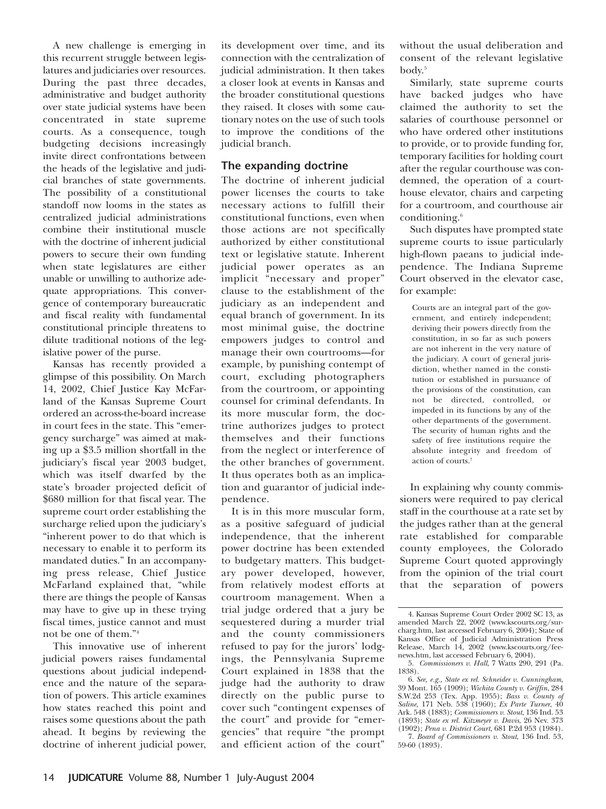A new challenge is emerging in this recurrent struggle between legislatures and judiciaries over resources. During the past three decades, administrative and budget authority over state judicial systems have been concentrated in state supreme courts. As a consequence, tough budgeting decisions increasingly invite direct confrontations between the heads of the legislative and judicial branches of state governments. The possibility of a constitutional standoff now looms in the states as centralized judicial administrations combine their institutional muscle with the doctrine of inherent judicial powers to secure their own funding when state legislatures are either unable or unwilling to authorize adequate appropriations. This convergence of contemporary bureaucratic and fiscal reality with fundamental constitutional principle threatens to dilute traditional notions of the legislative power of the purse.

Kansas has recently provided a glimpse of this possibility. On March 14, 2002, Chief Justice Kay McFarland of the Kansas Supreme Court ordered an across-the-board increase in court fees in the state. This "emergency surcharge" was aimed at making up a \$3.5 million shortfall in the judiciary's fiscal year 2003 budget, which was itself dwarfed by the state's broader projected deficit of \$680 million for that fiscal year. The supreme court order establishing the surcharge relied upon the judiciary's "inherent power to do that which is necessary to enable it to perform its mandated duties." In an accompanying press release, Chief Justice McFarland explained that, "while there are things the people of Kansas may have to give up in these trying fiscal times, justice cannot and must not be one of them."4

This innovative use of inherent judicial powers raises fundamental questions about judicial independence and the nature of the separation of powers. This article examines how states reached this point and raises some questions about the path ahead. It begins by reviewing the doctrine of inherent judicial power,

its development over time, and its connection with the centralization of judicial administration. It then takes a closer look at events in Kansas and the broader constitutional questions they raised. It closes with some cautionary notes on the use of such tools to improve the conditions of the judicial branch.

## **The expanding doctrine**

The doctrine of inherent judicial power licenses the courts to take necessary actions to fulfill their constitutional functions, even when those actions are not specifically authorized by either constitutional text or legislative statute. Inherent judicial power operates as an implicit "necessary and proper" clause to the establishment of the judiciary as an independent and equal branch of government. In its most minimal guise, the doctrine empowers judges to control and manage their own courtrooms—for example, by punishing contempt of court, excluding photographers from the courtroom, or appointing counsel for criminal defendants. In its more muscular form, the doctrine authorizes judges to protect themselves and their functions from the neglect or interference of the other branches of government. It thus operates both as an implication and guarantor of judicial independence.

It is in this more muscular form, as a positive safeguard of judicial independence, that the inherent power doctrine has been extended to budgetary matters. This budgetary power developed, however, from relatively modest efforts at courtroom management. When a trial judge ordered that a jury be sequestered during a murder trial and the county commissioners refused to pay for the jurors' lodgings, the Pennsylvania Supreme Court explained in 1838 that the judge had the authority to draw directly on the public purse to cover such "contingent expenses of the court" and provide for "emergencies" that require "the prompt and efficient action of the court"

without the usual deliberation and consent of the relevant legislative body.5

Similarly, state supreme courts have backed judges who have claimed the authority to set the salaries of courthouse personnel or who have ordered other institutions to provide, or to provide funding for, temporary facilities for holding court after the regular courthouse was condemned, the operation of a courthouse elevator, chairs and carpeting for a courtroom, and courthouse air conditioning.<sup>6</sup>

Such disputes have prompted state supreme courts to issue particularly high-flown paeans to judicial independence. The Indiana Supreme Court observed in the elevator case, for example:

Courts are an integral part of the government, and entirely independent; deriving their powers directly from the constitution, in so far as such powers are not inherent in the very nature of the judiciary. A court of general jurisdiction, whether named in the constitution or established in pursuance of the provisions of the constitution, can not be directed, controlled, or impeded in its functions by any of the other departments of the government. The security of human rights and the safety of free institutions require the absolute integrity and freedom of action of courts.7

In explaining why county commissioners were required to pay clerical staff in the courthouse at a rate set by the judges rather than at the general rate established for comparable county employees, the Colorado Supreme Court quoted approvingly from the opinion of the trial court that the separation of powers

<sup>4.</sup> Kansas Supreme Court Order 2002 SC 13, as amended March 22, 2002 (www.kscourts.org/surcharg.htm, last accessed February 6, 2004); State of Kansas Office of Judicial Administration Press Release, March 14, 2002 (www.kscourts.org/feenews.htm, last accessed February 6, 2004).

<sup>5.</sup> *Commissioners v. Hall*, 7 Watts 290, 291 (Pa. 1838).

<sup>6.</sup> *See, e.g., State ex rel. Schneider v. Cunningham*, 39 Mont. 165 (1909); *Wichita County v. Griffin*, 284 S.W.2d 253 (Tex. App. 1955); *Bass v. County of Saline*, 171 Neb. 538 (1960); *Ex Parte Turner*, 40 Ark. 548 (1883); *Commissioners v. Stout*, 136 Ind. 53 (1893); *State ex rel. Kitzmeyer v. Davis*, 26 Nev. 373 (1902); *Pena v. District Court*, 681 P.2d 953 (1984).

<sup>7.</sup> *Board of Commissioners v. Stout*, 136 Ind. 53, 59-60 (1893).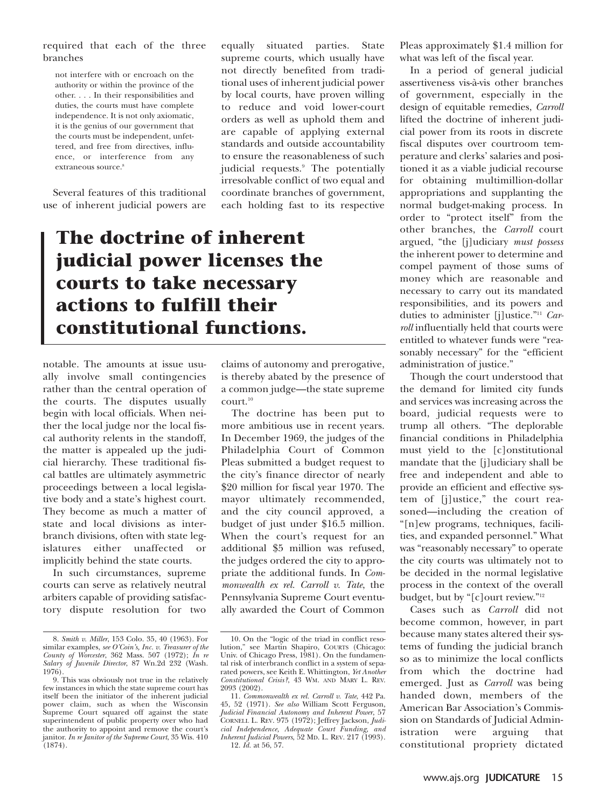#### required that each of the three branches

not interfere with or encroach on the authority or within the province of the other. . . . In their responsibilities and duties, the courts must have complete independence. It is not only axiomatic, it is the genius of our government that the courts must be independent, unfettered, and free from directives, influence, or interference from any extraneous source.<sup>8</sup>

Several features of this traditional use of inherent judicial powers are

equally situated parties. State supreme courts, which usually have not directly benefited from traditional uses of inherent judicial power by local courts, have proven willing to reduce and void lower-court orders as well as uphold them and are capable of applying external standards and outside accountability to ensure the reasonableness of such judicial requests.<sup>9</sup> The potentially irresolvable conflict of two equal and coordinate branches of government, each holding fast to its respective

# **The doctrine of inherent judicial power licenses the courts to take necessary actions to fulfill their constitutional functions.**

notable. The amounts at issue usually involve small contingencies rather than the central operation of the courts. The disputes usually begin with local officials. When neither the local judge nor the local fiscal authority relents in the standoff, the matter is appealed up the judicial hierarchy. These traditional fiscal battles are ultimately asymmetric proceedings between a local legislative body and a state's highest court. They become as much a matter of state and local divisions as interbranch divisions, often with state legislatures either unaffected or implicitly behind the state courts.

In such circumstances, supreme courts can serve as relatively neutral arbiters capable of providing satisfactory dispute resolution for two claims of autonomy and prerogative, is thereby abated by the presence of a common judge—the state supreme court.10

The doctrine has been put to more ambitious use in recent years. In December 1969, the judges of the Philadelphia Court of Common Pleas submitted a budget request to the city's finance director of nearly \$20 million for fiscal year 1970. The mayor ultimately recommended, and the city council approved, a budget of just under \$16.5 million. When the court's request for an additional \$5 million was refused, the judges ordered the city to appropriate the additional funds. In *Commonwealth ex rel. Carroll v. Tate*, the Pennsylvania Supreme Court eventually awarded the Court of Common Pleas approximately \$1.4 million for what was left of the fiscal year.

In a period of general judicial assertiveness vis-à-vis other branches of government, especially in the design of equitable remedies, *Carroll* lifted the doctrine of inherent judicial power from its roots in discrete fiscal disputes over courtroom temperature and clerks' salaries and positioned it as a viable judicial recourse for obtaining multimillion-dollar appropriations and supplanting the normal budget-making process. In order to "protect itself" from the other branches, the *Carroll* court argued, "the [j]udiciary *must possess* the inherent power to determine and compel payment of those sums of money which are reasonable and necessary to carry out its mandated responsibilities, and its powers and duties to administer [j]ustice."11 *Carroll* influentially held that courts were entitled to whatever funds were "reasonably necessary" for the "efficient administration of justice."

Though the court understood that the demand for limited city funds and services was increasing across the board, judicial requests were to trump all others. "The deplorable financial conditions in Philadelphia must yield to the [c]onstitutional mandate that the [j]udiciary shall be free and independent and able to provide an efficient and effective system of [j]ustice," the court reasoned—including the creation of "[n]ew programs, techniques, facilities, and expanded personnel." What was "reasonably necessary" to operate the city courts was ultimately not to be decided in the normal legislative process in the context of the overall budget, but by "[c]ourt review."12

Cases such as *Carroll* did not become common, however, in part because many states altered their systems of funding the judicial branch so as to minimize the local conflicts from which the doctrine had emerged. Just as *Carroll* was being handed down, members of the American Bar Association's Commission on Standards of Judicial Administration were arguing that constitutional propriety dictated

<sup>8.</sup> *Smith v. Miller*, 153 Colo. 35, 40 (1963). For similar examples, *see O'Coin's, Inc. v. Treasurer of the County of Worcester*, 362 Mass. 507 (1972); *In re Salary of Juvenile Director*, 87 Wn.2d 232 (Wash. 1976).

<sup>9.</sup> This was obviously not true in the relatively few instances in which the state supreme court has itself been the initiator of the inherent judicial power claim, such as when the Wisconsin Supreme Court squared off against the state superintendent of public property over who had the authority to appoint and remove the court's janitor. *In re Janitor of the Supreme Court*, 35 Wis. 410  $(1874)$ .

<sup>10.</sup> On the "logic of the triad in conflict resolution," see Martin Shapiro, COURTS (Chicago: Univ. of Chicago Press, 1981). On the fundamental risk of interbranch conflict in a system of separated powers, see Keith E. Whittington, *Yet Another Constitutional Crisis?*, 43 WM. AND MARY L. REV. 2093 (2002).

<sup>11.</sup> *Commonwealth ex rel. Carroll v. Tate*, 442 Pa. 45, 52 (1971). *See also* William Scott Ferguson, *Judicial Financial Autonomy and Inherent Power*, 57 CORNELL L. REV. 975 (1972); Jeffrey Jackson, *Judicial Independence, Adequate Court Funding, and Inherent Judicial Powers*, 52 MD. L. REV. 217 (1993). 12. *Id.* at 56, 57.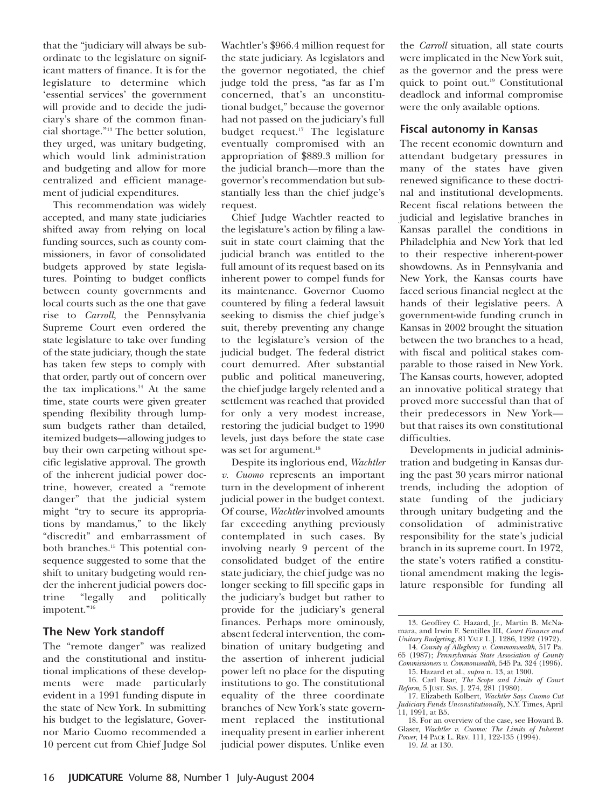that the "judiciary will always be subordinate to the legislature on significant matters of finance. It is for the legislature to determine which 'essential services' the government will provide and to decide the judiciary's share of the common financial shortage."13 The better solution, they urged, was unitary budgeting, which would link administration and budgeting and allow for more centralized and efficient management of judicial expenditures.

This recommendation was widely accepted, and many state judiciaries shifted away from relying on local funding sources, such as county commissioners, in favor of consolidated budgets approved by state legislatures. Pointing to budget conflicts between county governments and local courts such as the one that gave rise to *Carroll*, the Pennsylvania Supreme Court even ordered the state legislature to take over funding of the state judiciary, though the state has taken few steps to comply with that order, partly out of concern over the tax implications.<sup>14</sup> At the same time, state courts were given greater spending flexibility through lumpsum budgets rather than detailed, itemized budgets—allowing judges to buy their own carpeting without specific legislative approval. The growth of the inherent judicial power doctrine, however, created a "remote danger" that the judicial system might "try to secure its appropriations by mandamus," to the likely "discredit" and embarrassment of both branches.15 This potential consequence suggested to some that the shift to unitary budgeting would render the inherent judicial powers doctrine "legally and politically impotent."16

### **The New York standoff**

The "remote danger" was realized and the constitutional and institutional implications of these developments were made particularly evident in a 1991 funding dispute in the state of New York. In submitting his budget to the legislature, Governor Mario Cuomo recommended a 10 percent cut from Chief Judge Sol

Wachtler's \$966.4 million request for the state judiciary. As legislators and the governor negotiated, the chief judge told the press, "as far as I'm concerned, that's an unconstitutional budget," because the governor had not passed on the judiciary's full budget request.<sup>17</sup> The legislature eventually compromised with an appropriation of \$889.3 million for the judicial branch—more than the governor's recommendation but substantially less than the chief judge's request.

Chief Judge Wachtler reacted to the legislature's action by filing a lawsuit in state court claiming that the judicial branch was entitled to the full amount of its request based on its inherent power to compel funds for its maintenance. Governor Cuomo countered by filing a federal lawsuit seeking to dismiss the chief judge's suit, thereby preventing any change to the legislature's version of the judicial budget. The federal district court demurred. After substantial public and political maneuvering, the chief judge largely relented and a settlement was reached that provided for only a very modest increase, restoring the judicial budget to 1990 levels, just days before the state case was set for argument.<sup>18</sup>

Despite its inglorious end, *Wachtler v. Cuomo* represents an important turn in the development of inherent judicial power in the budget context. Of course, *Wachtler* involved amounts far exceeding anything previously contemplated in such cases. By involving nearly 9 percent of the consolidated budget of the entire state judiciary, the chief judge was no longer seeking to fill specific gaps in the judiciary's budget but rather to provide for the judiciary's general finances. Perhaps more ominously, absent federal intervention, the combination of unitary budgeting and the assertion of inherent judicial power left no place for the disputing institutions to go. The constitutional equality of the three coordinate branches of New York's state government replaced the institutional inequality present in earlier inherent judicial power disputes. Unlike even the *Carroll* situation, all state courts were implicated in the New York suit, as the governor and the press were quick to point out.19 Constitutional deadlock and informal compromise were the only available options.

### **Fiscal autonomy in Kansas**

The recent economic downturn and attendant budgetary pressures in many of the states have given renewed significance to these doctrinal and institutional developments. Recent fiscal relations between the judicial and legislative branches in Kansas parallel the conditions in Philadelphia and New York that led to their respective inherent-power showdowns. As in Pennsylvania and New York, the Kansas courts have faced serious financial neglect at the hands of their legislative peers. A government-wide funding crunch in Kansas in 2002 brought the situation between the two branches to a head, with fiscal and political stakes comparable to those raised in New York. The Kansas courts, however, adopted an innovative political strategy that proved more successful than that of their predecessors in New York but that raises its own constitutional difficulties.

Developments in judicial administration and budgeting in Kansas during the past 30 years mirror national trends, including the adoption of state funding of the judiciary through unitary budgeting and the consolidation of administrative responsibility for the state's judicial branch in its supreme court. In 1972, the state's voters ratified a constitutional amendment making the legislature responsible for funding all

<sup>13.</sup> Geoffrey C. Hazard, Jr., Martin B. McNamara, and Irwin F. Sentilles III, *Court Finance and Unitary Budgeting*, 81 YALE L.J. 1286, 1292 (1972). 14. *County of Allegheny v. Commonwealth*, 517 Pa.

<sup>65 (1987);</sup> *Pennsylvania State Association of County Commissioners v. Commonwealth*, 545 Pa. 324 (1996).

<sup>15.</sup> Hazard et al., *supra* n. 13, at 1300. 16. Carl Baar, *The Scope and Limits of Court Reform*, 5 JUST. SYS. J. 274, 281 (1980).

<sup>17.</sup> Elizabeth Kolbert, *Wachtler Says Cuomo Cut Judiciary Funds Unconstitutionally*, N.Y. Times, April 11, 1991, at B5.

<sup>18.</sup> For an overview of the case, see Howard B. Glaser, *Wachtler v. Cuomo: The Limits of Inherent Power*, 14 PACE L. REV. 111, 122-135 (1994).

<sup>19.</sup> *Id.* at 130.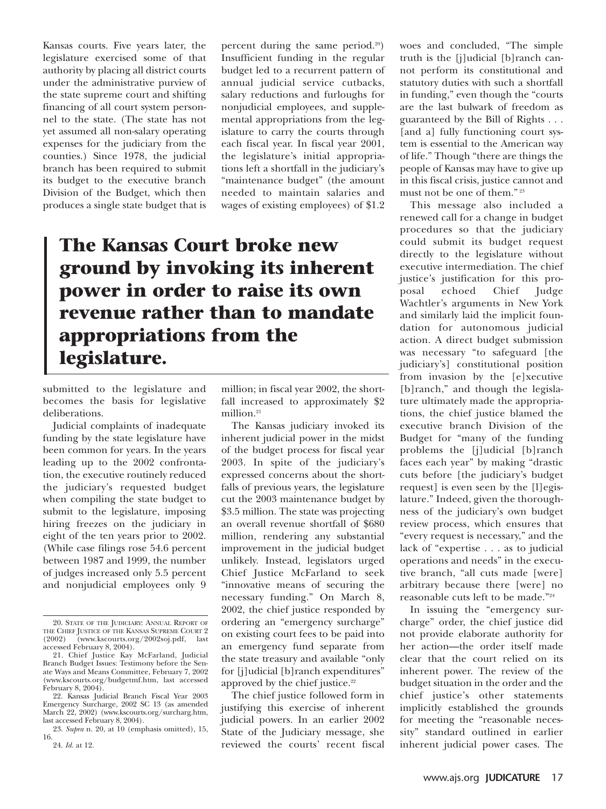Kansas courts. Five years later, the legislature exercised some of that authority by placing all district courts under the administrative purview of the state supreme court and shifting financing of all court system personnel to the state. (The state has not yet assumed all non-salary operating expenses for the judiciary from the counties.) Since 1978, the judicial branch has been required to submit its budget to the executive branch Division of the Budget, which then produces a single state budget that is

percent during the same period.20) Insufficient funding in the regular budget led to a recurrent pattern of annual judicial service cutbacks, salary reductions and furloughs for nonjudicial employees, and supplemental appropriations from the legislature to carry the courts through each fiscal year. In fiscal year 2001, the legislature's initial appropriations left a shortfall in the judiciary's "maintenance budget" (the amount needed to maintain salaries and wages of existing employees) of \$1.2

## **The Kansas Court broke new ground by invoking its inherent power in order to raise its own revenue rather than to mandate appropriations from the legislature.**

submitted to the legislature and becomes the basis for legislative deliberations.

Judicial complaints of inadequate funding by the state legislature have been common for years. In the years leading up to the 2002 confrontation, the executive routinely reduced the judiciary's requested budget when compiling the state budget to submit to the legislature, imposing hiring freezes on the judiciary in eight of the ten years prior to 2002. (While case filings rose 54.6 percent between 1987 and 1999, the number of judges increased only 5.5 percent and nonjudicial employees only 9

million; in fiscal year 2002, the shortfall increased to approximately \$2 million.<sup>21</sup>

The Kansas judiciary invoked its inherent judicial power in the midst of the budget process for fiscal year 2003. In spite of the judiciary's expressed concerns about the shortfalls of previous years, the legislature cut the 2003 maintenance budget by \$3.5 million. The state was projecting an overall revenue shortfall of \$680 million, rendering any substantial improvement in the judicial budget unlikely. Instead, legislators urged Chief Justice McFarland to seek "innovative means of securing the necessary funding." On March 8, 2002, the chief justice responded by ordering an "emergency surcharge" on existing court fees to be paid into an emergency fund separate from the state treasury and available "only for [j]udicial [b]ranch expenditures" approved by the chief justice. $22$ 

The chief justice followed form in justifying this exercise of inherent judicial powers. In an earlier 2002 State of the Judiciary message, she reviewed the courts' recent fiscal woes and concluded, "The simple truth is the [j]udicial [b]ranch cannot perform its constitutional and statutory duties with such a shortfall in funding," even though the "courts are the last bulwark of freedom as guaranteed by the Bill of Rights . . . [and a] fully functioning court system is essential to the American way of life." Though "there are things the people of Kansas may have to give up in this fiscal crisis, justice cannot and must not be one of them." <sup>23</sup>

This message also included a renewed call for a change in budget procedures so that the judiciary could submit its budget request directly to the legislature without executive intermediation. The chief justice's justification for this proposal echoed Chief Judge Wachtler's arguments in New York and similarly laid the implicit foundation for autonomous judicial action. A direct budget submission was necessary "to safeguard [the judiciary's] constitutional position from invasion by the [e]xecutive [b]ranch," and though the legislature ultimately made the appropriations, the chief justice blamed the executive branch Division of the Budget for "many of the funding problems the [j]udicial [b]ranch faces each year" by making "drastic cuts before [the judiciary's budget request] is even seen by the [l]egislature." Indeed, given the thoroughness of the judiciary's own budget review process, which ensures that "every request is necessary," and the lack of "expertise . . . as to judicial operations and needs" in the executive branch, "all cuts made [were] arbitrary because there [were] no reasonable cuts left to be made."24

In issuing the "emergency surcharge" order, the chief justice did not provide elaborate authority for her action—the order itself made clear that the court relied on its inherent power. The review of the budget situation in the order and the chief justice's other statements implicitly established the grounds for meeting the "reasonable necessity" standard outlined in earlier inherent judicial power cases. The

<sup>20.</sup> STATE OF THE JUDICIARY: ANNUAL REPORT OF THE CHIEF JUSTICE OF THE KANSAS SUPREME COURT 2 (2002) (www.kscourts.org/2002soj.pdf, last accessed February 8, 2004).

<sup>21.</sup> Chief Justice Kay McFarland, Judicial Branch Budget Issues: Testimony before the Senate Ways and Means Committee, February 7, 2002 (www.kscourts.org/budgetmf.htm, last accessed February 8, 2004).

<sup>22.</sup> Kansas Judicial Branch Fiscal Year 2003 Emergency Surcharge, 2002 SC 13 (as amended March 22, 2002) (www.kscourts.org/surcharg.htm, last accessed February 8, 2004).

<sup>23.</sup> *Supra* n. 20, at 10 (emphasis omitted), 15, 16.

<sup>24.</sup> *Id.* at 12.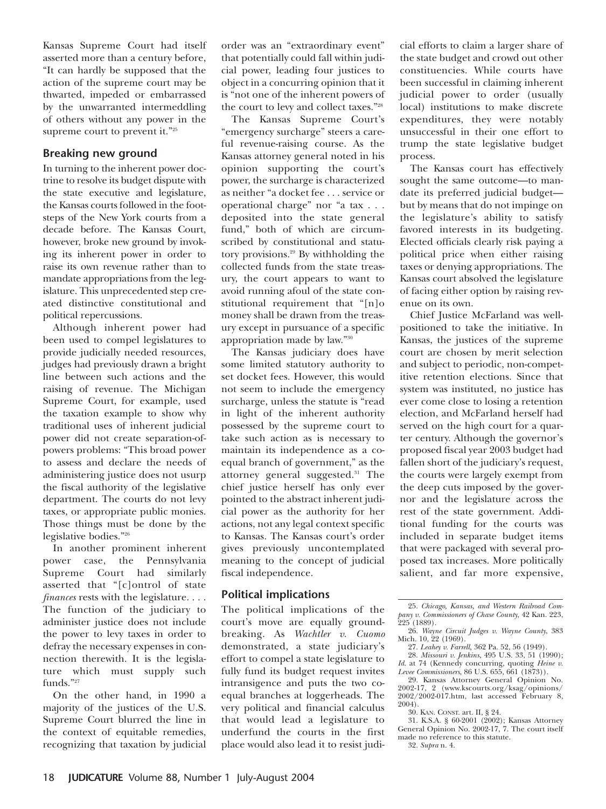Kansas Supreme Court had itself asserted more than a century before, "It can hardly be supposed that the action of the supreme court may be thwarted, impeded or embarrassed by the unwarranted intermeddling of others without any power in the supreme court to prevent it."<sup>25</sup>

#### **Breaking new ground**

In turning to the inherent power doctrine to resolve its budget dispute with the state executive and legislature, the Kansas courts followed in the footsteps of the New York courts from a decade before. The Kansas Court, however, broke new ground by invoking its inherent power in order to raise its own revenue rather than to mandate appropriations from the legislature. This unprecedented step created distinctive constitutional and political repercussions.

Although inherent power had been used to compel legislatures to provide judicially needed resources, judges had previously drawn a bright line between such actions and the raising of revenue. The Michigan Supreme Court, for example, used the taxation example to show why traditional uses of inherent judicial power did not create separation-ofpowers problems: "This broad power to assess and declare the needs of administering justice does not usurp the fiscal authority of the legislative department. The courts do not levy taxes, or appropriate public monies. Those things must be done by the legislative bodies."26

In another prominent inherent power case, the Pennsylvania Supreme Court had similarly asserted that "[c]ontrol of state *finances* rests with the legislature. . . . The function of the judiciary to administer justice does not include the power to levy taxes in order to defray the necessary expenses in connection therewith. It is the legislature which must supply such funds."27

On the other hand, in 1990 a majority of the justices of the U.S. Supreme Court blurred the line in the context of equitable remedies, recognizing that taxation by judicial

order was an "extraordinary event" that potentially could fall within judicial power, leading four justices to object in a concurring opinion that it is "not one of the inherent powers of the court to levy and collect taxes."28

The Kansas Supreme Court's "emergency surcharge" steers a careful revenue-raising course. As the Kansas attorney general noted in his opinion supporting the court's power, the surcharge is characterized as neither "a docket fee . . . service or operational charge" nor "a tax . . . deposited into the state general fund," both of which are circumscribed by constitutional and statutory provisions.29 By withholding the collected funds from the state treasury, the court appears to want to avoid running afoul of the state constitutional requirement that "[n]o money shall be drawn from the treasury except in pursuance of a specific appropriation made by law."30

The Kansas judiciary does have some limited statutory authority to set docket fees. However, this would not seem to include the emergency surcharge, unless the statute is "read in light of the inherent authority possessed by the supreme court to take such action as is necessary to maintain its independence as a coequal branch of government," as the attorney general suggested.31 The chief justice herself has only ever pointed to the abstract inherent judicial power as the authority for her actions, not any legal context specific to Kansas. The Kansas court's order gives previously uncontemplated meaning to the concept of judicial fiscal independence.

### **Political implications**

The political implications of the court's move are equally groundbreaking. As *Wachtler v. Cuomo* demonstrated, a state judiciary's effort to compel a state legislature to fully fund its budget request invites intransigence and puts the two coequal branches at loggerheads. The very political and financial calculus that would lead a legislature to underfund the courts in the first place would also lead it to resist judi-

cial efforts to claim a larger share of the state budget and crowd out other constituencies. While courts have been successful in claiming inherent judicial power to order (usually local) institutions to make discrete expenditures, they were notably unsuccessful in their one effort to trump the state legislative budget process.

The Kansas court has effectively sought the same outcome—to mandate its preferred judicial budget but by means that do not impinge on the legislature's ability to satisfy favored interests in its budgeting. Elected officials clearly risk paying a political price when either raising taxes or denying appropriations. The Kansas court absolved the legislature of facing either option by raising revenue on its own.

Chief Justice McFarland was wellpositioned to take the initiative. In Kansas, the justices of the supreme court are chosen by merit selection and subject to periodic, non-competitive retention elections. Since that system was instituted, no justice has ever come close to losing a retention election, and McFarland herself had served on the high court for a quarter century. Although the governor's proposed fiscal year 2003 budget had fallen short of the judiciary's request, the courts were largely exempt from the deep cuts imposed by the governor and the legislature across the rest of the state government. Additional funding for the courts was included in separate budget items that were packaged with several proposed tax increases. More politically salient, and far more expensive,

<sup>25.</sup> *Chicago, Kansas, and Western Railroad Company v. Commissioners of Chase County*, 42 Kan. 223,  $225(1889)$ .

<sup>26.</sup> *Wayne Circuit Judges v. Wayne County*, 383 Mich. 10, 22 (1969).

<sup>27.</sup> *Leahey v. Farrell,* 362 Pa. 52, 56 (1949).

<sup>28.</sup> *Missouri v. Jenkins*, 495 U.S. 33, 51 (1990); *Id*. at 74 (Kennedy concurring, quoting *Heine v. Levee Commissioners*, 86 U.S. 655, 661 (1873)).

<sup>29.</sup> Kansas Attorney General Opinion No. 2002-17, 2 (www.kscourts.org/ksag/opinions/ 2002/2002-017.htm, last accessed February 8, 2004).

<sup>30.</sup> KAN. CONST. art. II, § 24.

<sup>31.</sup> K.S.A. § 60-2001 (2002); Kansas Attorney General Opinion No. 2002-17, 7. The court itself made no reference to this statute.

<sup>32.</sup> *Supra* n. 4.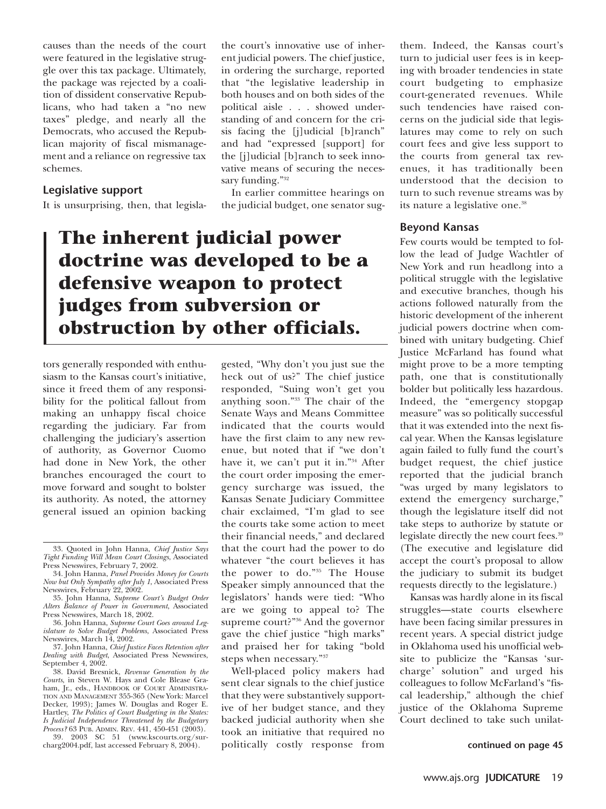causes than the needs of the court were featured in the legislative struggle over this tax package. Ultimately, the package was rejected by a coalition of dissident conservative Republicans, who had taken a "no new taxes" pledge, and nearly all the Democrats, who accused the Republican majority of fiscal mismanagement and a reliance on regressive tax schemes.

#### **Legislative support**

It is unsurprising, then, that legisla-

the court's innovative use of inherent judicial powers. The chief justice, in ordering the surcharge, reported that "the legislative leadership in both houses and on both sides of the political aisle . . . showed understanding of and concern for the crisis facing the [j]udicial [b]ranch" and had "expressed [support] for the [j]udicial [b]ranch to seek innovative means of securing the necessary funding."<sup>32</sup>

In earlier committee hearings on the judicial budget, one senator sug-

## **The inherent judicial power doctrine was developed to be a defensive weapon to protect judges from subversion or obstruction by other officials.**

tors generally responded with enthusiasm to the Kansas court's initiative, since it freed them of any responsibility for the political fallout from making an unhappy fiscal choice regarding the judiciary. Far from challenging the judiciary's assertion of authority, as Governor Cuomo had done in New York, the other branches encouraged the court to move forward and sought to bolster its authority. As noted, the attorney general issued an opinion backing

38. David Bresnick, *Revenue Generation by the Courts*, in Steven W. Hays and Cole Blease Graham, Jr., eds., HANDBOOK OF COURT ADMINISTRA-TION AND MANAGEMENT 355-365 (New York: Marcel Decker, 1993); James W. Douglas and Roger E. Hartley, *The Politics of Court Budgeting in the States: Is Judicial Independence Threatened by the Budgetary*

*Process?* 63 PUB. ADMIN. REV. 441, 450-451 (2003). 39. 2003 SC 51 (www.kscourts.org/surcharg2004.pdf, last accessed February 8, 2004).

gested, "Why don't you just sue the heck out of us?" The chief justice responded, "Suing won't get you anything soon."33 The chair of the Senate Ways and Means Committee indicated that the courts would have the first claim to any new revenue, but noted that if "we don't have it, we can't put it in."34 After the court order imposing the emergency surcharge was issued, the Kansas Senate Judiciary Committee chair exclaimed, "I'm glad to see the courts take some action to meet their financial needs," and declared that the court had the power to do whatever "the court believes it has the power to do."35 The House Speaker simply announced that the legislators' hands were tied: "Who are we going to appeal to? The supreme court?"36 And the governor gave the chief justice "high marks" and praised her for taking "bold steps when necessary."37

Well-placed policy makers had sent clear signals to the chief justice that they were substantively supportive of her budget stance, and they backed judicial authority when she took an initiative that required no politically costly response from them. Indeed, the Kansas court's turn to judicial user fees is in keeping with broader tendencies in state court budgeting to emphasize court-generated revenues. While such tendencies have raised concerns on the judicial side that legislatures may come to rely on such court fees and give less support to the courts from general tax revenues, it has traditionally been understood that the decision to turn to such revenue streams was by its nature a legislative one.<sup>38</sup>

#### **Beyond Kansas**

Few courts would be tempted to follow the lead of Judge Wachtler of New York and run headlong into a political struggle with the legislative and executive branches, though his actions followed naturally from the historic development of the inherent judicial powers doctrine when combined with unitary budgeting. Chief Justice McFarland has found what might prove to be a more tempting path, one that is constitutionally bolder but politically less hazardous. Indeed, the "emergency stopgap measure" was so politically successful that it was extended into the next fiscal year. When the Kansas legislature again failed to fully fund the court's budget request, the chief justice reported that the judicial branch "was urged by many legislators to extend the emergency surcharge," though the legislature itself did not take steps to authorize by statute or legislate directly the new court fees.39 (The executive and legislature did accept the court's proposal to allow the judiciary to submit its budget requests directly to the legislature.)

Kansas was hardly alone in its fiscal struggles—state courts elsewhere have been facing similar pressures in recent years. A special district judge in Oklahoma used his unofficial website to publicize the "Kansas 'surcharge' solution" and urged his colleagues to follow McFarland's "fiscal leadership," although the chief justice of the Oklahoma Supreme Court declined to take such unilat-

#### **continued on page 45**

<sup>33.</sup> Quoted in John Hanna, *Chief Justice Says Tight Funding Will Mean Court Closings*, Associated Press Newswires, February 7, 2002.

<sup>34.</sup> John Hanna, *Panel Provides Money for Courts Now but Only Sympathy after July 1*, Associated Press Newswires, February 22, 2002.

<sup>35.</sup> John Hanna, *Supreme Court's Budget Order Alters Balance of Power in Government*, Associated Press Newswires, March 18, 2002.

<sup>36.</sup> John Hanna, *Supreme Court Goes around Legislature to Solve Budget Problems*, Associated Press Newswires, March 14, 2002.

<sup>37.</sup> John Hanna, *Chief Justice Faces Retention after Dealing with Budget*, Associated Press Newswires, September 4, 2002.